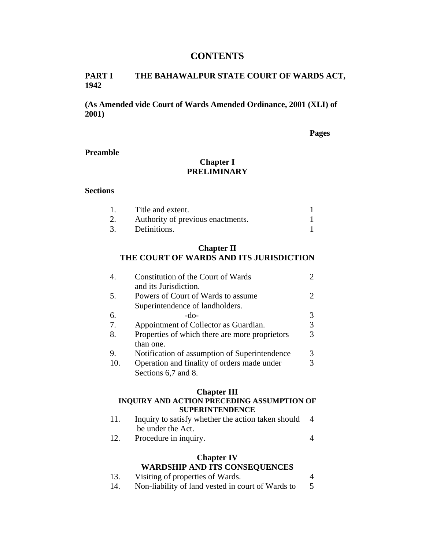### **CONTENTS**

#### **PART I THE BAHAWALPUR STATE COURT OF WARDS ACT, 1942**

**(As Amended vide Court of Wards Amended Ordinance, 2001 (XLI) of 2001)** 

**Pages** 

#### **Preamble**

# **Chapter I PRELIMINARY**

#### **Sections**

|    | Title and extent.                 |  |
|----|-----------------------------------|--|
| 2. | Authority of previous enactments. |  |
|    | Definitions.                      |  |

### **Chapter II THE COURT OF WARDS AND ITS JURISDICTION**

| 4.  | Constitution of the Court of Wards<br>and its Jurisdiction.           |  |
|-----|-----------------------------------------------------------------------|--|
| 5.  | Powers of Court of Wards to assume<br>Superintendence of landholders. |  |
| 6.  | -do-                                                                  |  |
| 7.  | Appointment of Collector as Guardian.                                 |  |
| 8.  | Properties of which there are more proprietors<br>than one.           |  |
| 9.  | Notification of assumption of Superintendence                         |  |
| 10. | Operation and finality of orders made under<br>Sections 6,7 and 8.    |  |

#### **Chapter III**

### **INQUIRY AND ACTION PRECEDING ASSUMPTION OF SUPERINTENDENCE**

- 11. Inquiry to satisfy whether the action taken should 4 be under the Act.
- 12. Procedure in inquiry. 4

### **Chapter IV**

## **WARDSHIP AND ITS CONSEQUENCES**

- 13. Visiting of properties of Wards. 4
- 14. Non-liability of land vested in court of Wards to 5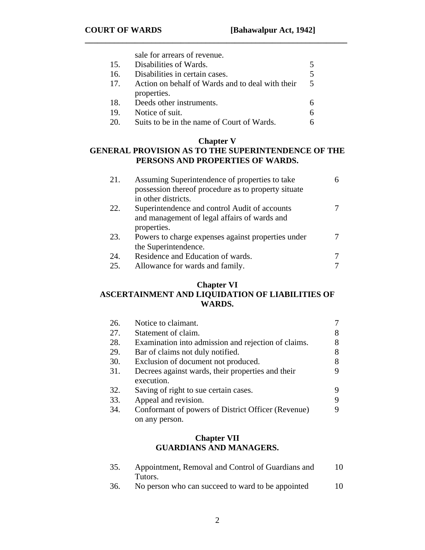|     | sale for arrears of revenue.                     |    |
|-----|--------------------------------------------------|----|
| 15. | Disabilities of Wards.                           |    |
| 16. | Disabilities in certain cases.                   |    |
| 17. | Action on behalf of Wards and to deal with their | -5 |
|     | properties.                                      |    |
| 18. | Deeds other instruments.                         |    |
| 19. | Notice of suit.                                  | 6  |
| 20. | Suits to be in the name of Court of Wards.       |    |

**\_\_\_\_\_\_\_\_\_\_\_\_\_\_\_\_\_\_\_\_\_\_\_\_\_\_\_\_\_\_\_\_\_\_\_\_\_\_\_\_\_\_\_\_\_\_\_\_\_\_\_\_\_\_\_\_\_\_\_\_\_\_\_** 

# **Chapter V**

# **GENERAL PROVISION AS TO THE SUPERINTENDENCE OF THE PERSONS AND PROPERTIES OF WARDS.**

| 21. | Assuming Superintendence of properties to take      |  |
|-----|-----------------------------------------------------|--|
|     | possession thereof procedure as to property situate |  |
|     | in other districts.                                 |  |
| 22. | Superintendence and control Audit of accounts       |  |
|     | and management of legal affairs of wards and        |  |
|     | properties.                                         |  |
| 23. | Powers to charge expenses against properties under  |  |
|     | the Superintendence.                                |  |
| 24. | Residence and Education of wards.                   |  |
| 25. | Allowance for wards and family.                     |  |

# **Chapter VI ASCERTAINMENT AND LIQUIDATION OF LIABILITIES OF WARDS.**

| 26. | Notice to claimant.                                 |   |
|-----|-----------------------------------------------------|---|
| 27. | Statement of claim.                                 | 8 |
| 28. | Examination into admission and rejection of claims. | 8 |
| 29. | Bar of claims not duly notified.                    | 8 |
| 30. | Exclusion of document not produced.                 | 8 |
| 31. | Decrees against wards, their properties and their   | 9 |
|     | execution.                                          |   |
| 32. | Saving of right to sue certain cases.               | 9 |
| 33. | Appeal and revision.                                | 9 |
| 34. | Conformant of powers of District Officer (Revenue)  | 9 |
|     | on any person.                                      |   |

### **Chapter VII GUARDIANS AND MANAGERS.**

| Appointment, Removal and Control of Guardians and | 10 |
|---------------------------------------------------|----|
| Tutors.                                           |    |
| No person who can succeed to ward to be appointed | 10 |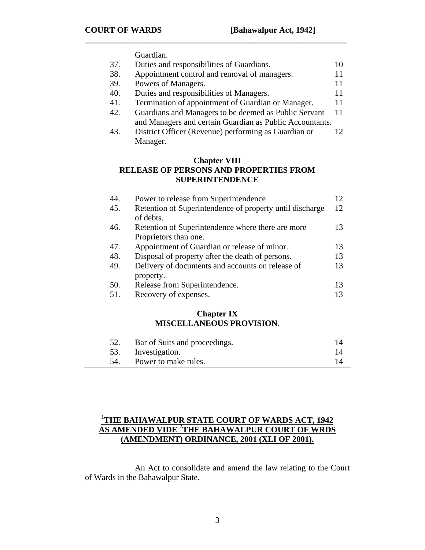Guardian.

| 37. | Duties and responsibilities of Guardians.                |    |
|-----|----------------------------------------------------------|----|
| 38. | Appointment control and removal of managers.             |    |
| 39. | Powers of Managers.                                      | 11 |
| 40. | Duties and responsibilities of Managers.                 | 11 |
| 41. | Termination of appointment of Guardian or Manager.       | 11 |
| 42. | Guardians and Managers to be deemed as Public Servant    | 11 |
|     | and Managers and certain Guardian as Public Accountants. |    |
| 43. | District Officer (Revenue) performing as Guardian or     |    |
|     | Manager.                                                 |    |

**\_\_\_\_\_\_\_\_\_\_\_\_\_\_\_\_\_\_\_\_\_\_\_\_\_\_\_\_\_\_\_\_\_\_\_\_\_\_\_\_\_\_\_\_\_\_\_\_\_\_\_\_\_\_\_\_\_\_\_\_\_\_\_** 

## **Chapter VIII RELEASE OF PERSONS AND PROPERTIES FROM SUPERINTENDENCE**

| 44. | Power to release from Superintendence                                      |    |
|-----|----------------------------------------------------------------------------|----|
| 45. | Retention of Superintendence of property until discharge<br>of debts.      | 12 |
| 46. | Retention of Superintendence where there are more<br>Proprietors than one. | 13 |
| 47. | Appointment of Guardian or release of minor.                               | 13 |
| 48. | Disposal of property after the death of persons.                           | 13 |
| 49. | Delivery of documents and accounts on release of<br>property.              | 13 |
| 50. | Release from Superintendence.                                              | 13 |
| 51. | Recovery of expenses.                                                      |    |

### **Chapter IX MISCELLANEOUS PROVISION.**

| Bar of Suits and proceedings. |  |
|-------------------------------|--|
| 53. Investigation.            |  |
| Power to make rules.          |  |

# 1 **THE BAHAWALPUR STATE COURT OF WARDS ACT, 1942 AS AMENDED VIDE** <sup>2</sup> **THE BAHAWALPUR COURT OF WRDS (AMENDMENT) ORDINANCE, 2001 (XLI OF 2001).**

 An Act to consolidate and amend the law relating to the Court of Wards in the Bahawalpur State.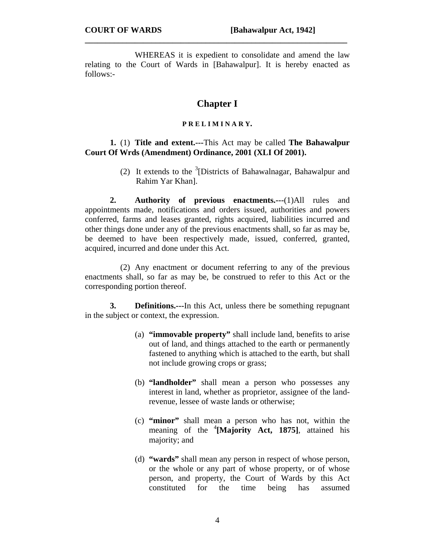WHEREAS it is expedient to consolidate and amend the law relating to the Court of Wards in [Bahawalpur]. It is hereby enacted as follows:-

**\_\_\_\_\_\_\_\_\_\_\_\_\_\_\_\_\_\_\_\_\_\_\_\_\_\_\_\_\_\_\_\_\_\_\_\_\_\_\_\_\_\_\_\_\_\_\_\_\_\_\_\_\_\_\_\_\_\_\_\_\_\_\_** 

# **Chapter I**

#### **P R E L I M I N A R Y.**

### **1.** (1) **Title and extent.---**This Act may be called **The Bahawalpur Court Of Wrds (Amendment) Ordinance, 2001 (XLI Of 2001).**

(2) It extends to the  $3$ [Districts of Bahawalnagar, Bahawalpur and Rahim Yar Khan].

**2. Authority of previous enactments.---**(1)All rules and appointments made, notifications and orders issued, authorities and powers conferred, farms and leases granted, rights acquired, liabilities incurred and other things done under any of the previous enactments shall, so far as may be, be deemed to have been respectively made, issued, conferred, granted, acquired, incurred and done under this Act.

(2) Any enactment or document referring to any of the previous enactments shall, so far as may be, be construed to refer to this Act or the corresponding portion thereof.

**3. Definitions.---**In this Act, unless there be something repugnant in the subject or context, the expression.

- (a) **"immovable property"** shall include land, benefits to arise out of land, and things attached to the earth or permanently fastened to anything which is attached to the earth, but shall not include growing crops or grass;
- (b) **"landholder"** shall mean a person who possesses any interest in land, whether as proprietor, assignee of the landrevenue, lessee of waste lands or otherwise;
- (c) **"minor"** shall mean a person who has not, within the meaning of the <sup>4</sup>[Majority Act, 1875], attained his majority; and
- (d) **"wards"** shall mean any person in respect of whose person, or the whole or any part of whose property, or of whose person, and property, the Court of Wards by this Act constituted for the time being has assumed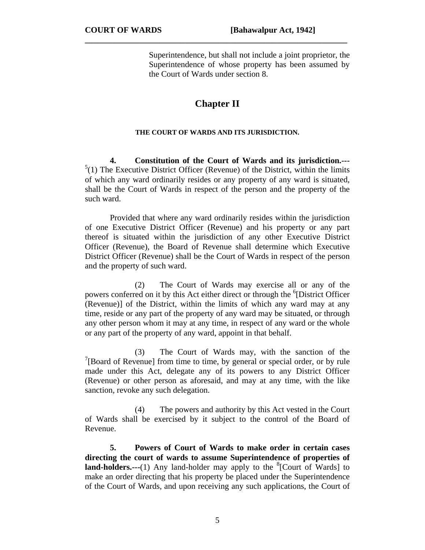Superintendence, but shall not include a joint proprietor, the Superintendence of whose property has been assumed by the Court of Wards under section 8.

# **Chapter II**

**\_\_\_\_\_\_\_\_\_\_\_\_\_\_\_\_\_\_\_\_\_\_\_\_\_\_\_\_\_\_\_\_\_\_\_\_\_\_\_\_\_\_\_\_\_\_\_\_\_\_\_\_\_\_\_\_\_\_\_\_\_\_\_** 

#### **THE COURT OF WARDS AND ITS JURISDICTION.**

**4. Constitution of the Court of Wards and its jurisdiction.---**  $5(1)$  The Executive District Officer (Revenue) of the District, within the limits of which any ward ordinarily resides or any property of any ward is situated, shall be the Court of Wards in respect of the person and the property of the such ward.

Provided that where any ward ordinarily resides within the jurisdiction of one Executive District Officer (Revenue) and his property or any part thereof is situated within the jurisdiction of any other Executive District Officer (Revenue), the Board of Revenue shall determine which Executive District Officer (Revenue) shall be the Court of Wards in respect of the person and the property of such ward.

(2) The Court of Wards may exercise all or any of the powers conferred on it by this Act either direct or through the <sup>6</sup>[District Officer (Revenue)] of the District, within the limits of which any ward may at any time, reside or any part of the property of any ward may be situated, or through any other person whom it may at any time, in respect of any ward or the whole or any part of the property of any ward, appoint in that behalf.

(3) The Court of Wards may, with the sanction of the <sup>7</sup>[Board of Revenue] from time to time, by general or special order, or by rule made under this Act, delegate any of its powers to any District Officer (Revenue) or other person as aforesaid, and may at any time, with the like sanction, revoke any such delegation.

(4) The powers and authority by this Act vested in the Court of Wards shall be exercised by it subject to the control of the Board of Revenue.

**5. Powers of Court of Wards to make order in certain cases directing the court of wards to assume Superintendence of properties of land-holders.**---(1) Any land-holder may apply to the  ${}^{8}$ [Court of Wards] to make an order directing that his property be placed under the Superintendence of the Court of Wards, and upon receiving any such applications, the Court of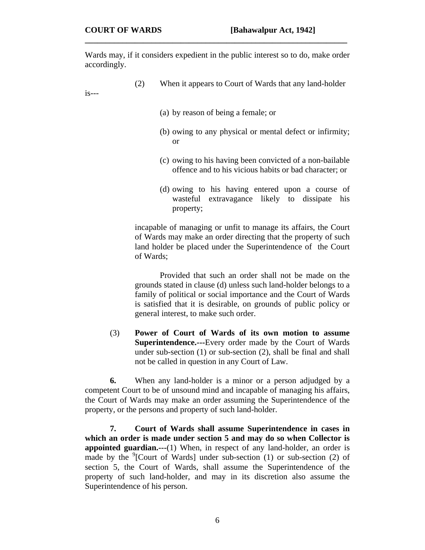Wards may, if it considers expedient in the public interest so to do, make order accordingly.

**\_\_\_\_\_\_\_\_\_\_\_\_\_\_\_\_\_\_\_\_\_\_\_\_\_\_\_\_\_\_\_\_\_\_\_\_\_\_\_\_\_\_\_\_\_\_\_\_\_\_\_\_\_\_\_\_\_\_\_\_\_\_\_** 

(2) When it appears to Court of Wards that any land-holder

is---

- (a) by reason of being a female; or
- (b) owing to any physical or mental defect or infirmity; or
- (c) owing to his having been convicted of a non-bailable offence and to his vicious habits or bad character; or
- (d) owing to his having entered upon a course of wasteful extravagance likely to dissipate his property;

incapable of managing or unfit to manage its affairs, the Court of Wards may make an order directing that the property of such land holder be placed under the Superintendence of the Court of Wards;

Provided that such an order shall not be made on the grounds stated in clause (d) unless such land-holder belongs to a family of political or social importance and the Court of Wards is satisfied that it is desirable, on grounds of public policy or general interest, to make such order.

(3) **Power of Court of Wards of its own motion to assume Superintendence.---**Every order made by the Court of Wards under sub-section (1) or sub-section (2), shall be final and shall not be called in question in any Court of Law.

**6.** When any land-holder is a minor or a person adjudged by a competent Court to be of unsound mind and incapable of managing his affairs, the Court of Wards may make an order assuming the Superintendence of the property, or the persons and property of such land-holder.

**7. Court of Wards shall assume Superintendence in cases in which an order is made under section 5 and may do so when Collector is appointed guardian.---**(1) When, in respect of any land-holder, an order is made by the  ${}^{9}$ [Court of Wards] under sub-section (1) or sub-section (2) of section 5, the Court of Wards, shall assume the Superintendence of the property of such land-holder, and may in its discretion also assume the Superintendence of his person.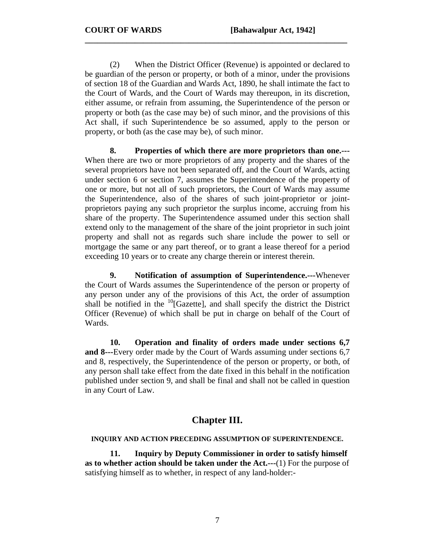(2) When the District Officer (Revenue) is appointed or declared to be guardian of the person or property, or both of a minor, under the provisions of section 18 of the Guardian and Wards Act, 1890, he shall intimate the fact to the Court of Wards, and the Court of Wards may thereupon, in its discretion, either assume, or refrain from assuming, the Superintendence of the person or property or both (as the case may be) of such minor, and the provisions of this Act shall, if such Superintendence be so assumed, apply to the person or property, or both (as the case may be), of such minor.

**\_\_\_\_\_\_\_\_\_\_\_\_\_\_\_\_\_\_\_\_\_\_\_\_\_\_\_\_\_\_\_\_\_\_\_\_\_\_\_\_\_\_\_\_\_\_\_\_\_\_\_\_\_\_\_\_\_\_\_\_\_\_\_** 

**8. Properties of which there are more proprietors than one.---** When there are two or more proprietors of any property and the shares of the several proprietors have not been separated off, and the Court of Wards, acting under section 6 or section 7, assumes the Superintendence of the property of one or more, but not all of such proprietors, the Court of Wards may assume the Superintendence, also of the shares of such joint-proprietor or jointproprietors paying any such proprietor the surplus income, accruing from his share of the property. The Superintendence assumed under this section shall extend only to the management of the share of the joint proprietor in such joint property and shall not as regards such share include the power to sell or mortgage the same or any part thereof, or to grant a lease thereof for a period exceeding 10 years or to create any charge therein or interest therein.

**9. Notification of assumption of Superintendence.---**Whenever the Court of Wards assumes the Superintendence of the person or property of any person under any of the provisions of this Act, the order of assumption shall be notified in the  $^{10}$ [Gazette], and shall specify the district the District Officer (Revenue) of which shall be put in charge on behalf of the Court of Wards.

**10. Operation and finality of orders made under sections 6,7 and 8---**Every order made by the Court of Wards assuming under sections 6,7 and 8, respectively, the Superintendence of the person or property, or both, of any person shall take effect from the date fixed in this behalf in the notification published under section 9, and shall be final and shall not be called in question in any Court of Law.

# **Chapter III.**

#### **INQUIRY AND ACTION PRECEDING ASSUMPTION OF SUPERINTENDENCE.**

 **11. Inquiry by Deputy Commissioner in order to satisfy himself as to whether action should be taken under the Act.---**(1) For the purpose of satisfying himself as to whether, in respect of any land-holder:-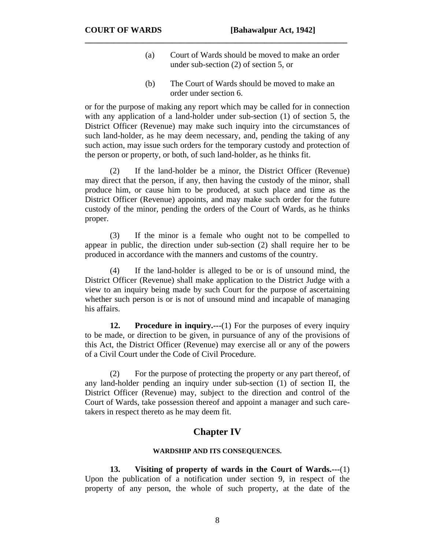- (a) Court of Wards should be moved to make an order under sub-section (2) of section 5, or
- (b) The Court of Wards should be moved to make an order under section 6.

or for the purpose of making any report which may be called for in connection with any application of a land-holder under sub-section (1) of section 5, the District Officer (Revenue) may make such inquiry into the circumstances of such land-holder, as he may deem necessary, and, pending the taking of any such action, may issue such orders for the temporary custody and protection of the person or property, or both, of such land-holder, as he thinks fit.

**\_\_\_\_\_\_\_\_\_\_\_\_\_\_\_\_\_\_\_\_\_\_\_\_\_\_\_\_\_\_\_\_\_\_\_\_\_\_\_\_\_\_\_\_\_\_\_\_\_\_\_\_\_\_\_\_\_\_\_\_\_\_\_** 

 (2) If the land-holder be a minor, the District Officer (Revenue) may direct that the person, if any, then having the custody of the minor, shall produce him, or cause him to be produced, at such place and time as the District Officer (Revenue) appoints, and may make such order for the future custody of the minor, pending the orders of the Court of Wards, as he thinks proper.

 (3) If the minor is a female who ought not to be compelled to appear in public, the direction under sub-section (2) shall require her to be produced in accordance with the manners and customs of the country.

 (4) If the land-holder is alleged to be or is of unsound mind, the District Officer (Revenue) shall make application to the District Judge with a view to an inquiry being made by such Court for the purpose of ascertaining whether such person is or is not of unsound mind and incapable of managing his affairs.

**12.** Procedure in inquiry....(1) For the purposes of every inquiry to be made, or direction to be given, in pursuance of any of the provisions of this Act, the District Officer (Revenue) may exercise all or any of the powers of a Civil Court under the Code of Civil Procedure.

(2) For the purpose of protecting the property or any part thereof, of any land-holder pending an inquiry under sub-section (1) of section II, the District Officer (Revenue) may, subject to the direction and control of the Court of Wards, take possession thereof and appoint a manager and such caretakers in respect thereto as he may deem fit.

# **Chapter IV**

#### **WARDSHIP AND ITS CONSEQUENCES.**

 **13. Visiting of property of wards in the Court of Wards.---**(1) Upon the publication of a notification under section 9, in respect of the property of any person, the whole of such property, at the date of the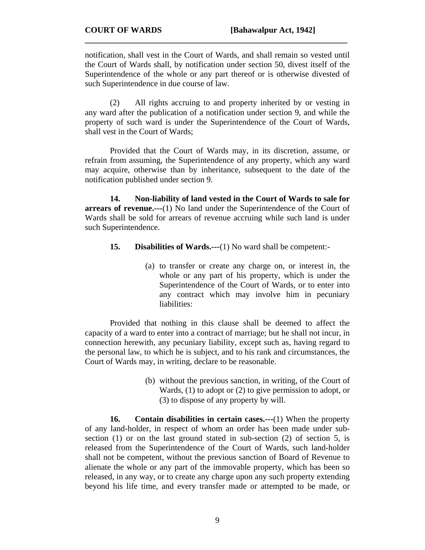notification, shall vest in the Court of Wards, and shall remain so vested until the Court of Wards shall, by notification under section 50, divest itself of the Superintendence of the whole or any part thereof or is otherwise divested of such Superintendence in due course of law.

**\_\_\_\_\_\_\_\_\_\_\_\_\_\_\_\_\_\_\_\_\_\_\_\_\_\_\_\_\_\_\_\_\_\_\_\_\_\_\_\_\_\_\_\_\_\_\_\_\_\_\_\_\_\_\_\_\_\_\_\_\_\_\_** 

(2) All rights accruing to and property inherited by or vesting in any ward after the publication of a notification under section 9, and while the property of such ward is under the Superintendence of the Court of Wards, shall vest in the Court of Wards;

 Provided that the Court of Wards may, in its discretion, assume, or refrain from assuming, the Superintendence of any property, which any ward may acquire, otherwise than by inheritance, subsequent to the date of the notification published under section 9.

**14. Non-liability of land vested in the Court of Wards to sale for arrears of revenue.---**(1) No land under the Superintendence of the Court of Wards shall be sold for arrears of revenue accruing while such land is under such Superintendence.

- **15.** Disabilities of Wards.---(1) No ward shall be competent:-
	- (a) to transfer or create any charge on, or interest in, the whole or any part of his property, which is under the Superintendence of the Court of Wards, or to enter into any contract which may involve him in pecuniary liabilities:

Provided that nothing in this clause shall be deemed to affect the capacity of a ward to enter into a contract of marriage; but he shall not incur, in connection herewith, any pecuniary liability, except such as, having regard to the personal law, to which he is subject, and to his rank and circumstances, the Court of Wards may, in writing, declare to be reasonable.

> (b) without the previous sanction, in writing, of the Court of Wards, (1) to adopt or (2) to give permission to adopt, or (3) to dispose of any property by will.

**16. Contain disabilities in certain cases.---**(1) When the property of any land-holder, in respect of whom an order has been made under subsection (1) or on the last ground stated in sub-section (2) of section 5, is released from the Superintendence of the Court of Wards, such land-holder shall not be competent, without the previous sanction of Board of Revenue to alienate the whole or any part of the immovable property, which has been so released, in any way, or to create any charge upon any such property extending beyond his life time, and every transfer made or attempted to be made, or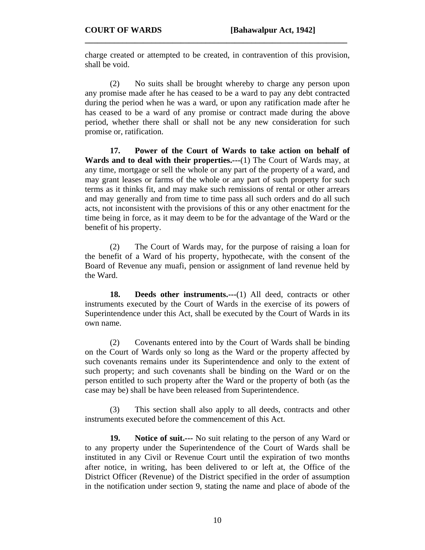charge created or attempted to be created, in contravention of this provision, shall be void.

**\_\_\_\_\_\_\_\_\_\_\_\_\_\_\_\_\_\_\_\_\_\_\_\_\_\_\_\_\_\_\_\_\_\_\_\_\_\_\_\_\_\_\_\_\_\_\_\_\_\_\_\_\_\_\_\_\_\_\_\_\_\_\_** 

(2) No suits shall be brought whereby to charge any person upon any promise made after he has ceased to be a ward to pay any debt contracted during the period when he was a ward, or upon any ratification made after he has ceased to be a ward of any promise or contract made during the above period, whether there shall or shall not be any new consideration for such promise or, ratification.

**17. Power of the Court of Wards to take action on behalf of Wards and to deal with their properties.---**(1) The Court of Wards may, at any time, mortgage or sell the whole or any part of the property of a ward, and may grant leases or farms of the whole or any part of such property for such terms as it thinks fit, and may make such remissions of rental or other arrears and may generally and from time to time pass all such orders and do all such acts, not inconsistent with the provisions of this or any other enactment for the time being in force, as it may deem to be for the advantage of the Ward or the benefit of his property.

(2) The Court of Wards may, for the purpose of raising a loan for the benefit of a Ward of his property, hypothecate, with the consent of the Board of Revenue any muafi, pension or assignment of land revenue held by the Ward.

**18. Deeds other instruments.---**(1) All deed, contracts or other instruments executed by the Court of Wards in the exercise of its powers of Superintendence under this Act, shall be executed by the Court of Wards in its own name.

 (2) Covenants entered into by the Court of Wards shall be binding on the Court of Wards only so long as the Ward or the property affected by such covenants remains under its Superintendence and only to the extent of such property; and such covenants shall be binding on the Ward or on the person entitled to such property after the Ward or the property of both (as the case may be) shall be have been released from Superintendence.

 (3) This section shall also apply to all deeds, contracts and other instruments executed before the commencement of this Act.

**19. Notice of suit.---** No suit relating to the person of any Ward or to any property under the Superintendence of the Court of Wards shall be instituted in any Civil or Revenue Court until the expiration of two months after notice, in writing, has been delivered to or left at, the Office of the District Officer (Revenue) of the District specified in the order of assumption in the notification under section 9, stating the name and place of abode of the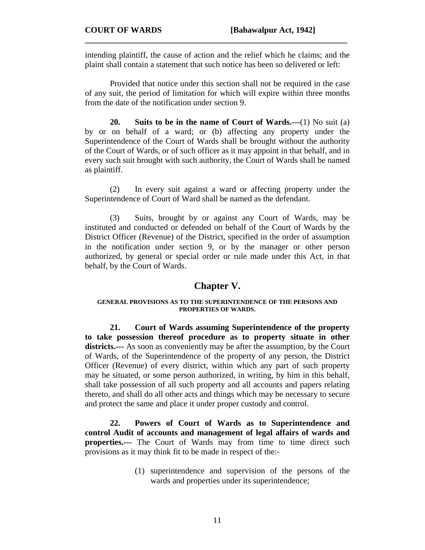intending plaintiff, the cause of action and the relief which he claims; and the plaint shall contain a statement that such notice has been so delivered or left:

**\_\_\_\_\_\_\_\_\_\_\_\_\_\_\_\_\_\_\_\_\_\_\_\_\_\_\_\_\_\_\_\_\_\_\_\_\_\_\_\_\_\_\_\_\_\_\_\_\_\_\_\_\_\_\_\_\_\_\_\_\_\_\_** 

 Provided that notice under this section shall not be required in the case of any suit, the period of limitation for which will expire within three months from the date of the notification under section 9.

**20. Suits to be in the name of Court of Wards.---**(1) No suit (a) by or on behalf of a ward; or (b) affecting any property under the Superintendence of the Court of Wards shall be brought without the authority of the Court of Wards, or of such officer as it may appoint in that behalf, and in every such suit brought with such authority, the Court of Wards shall be named as plaintiff.

 (2) In every suit against a ward or affecting property under the Superintendence of Court of Ward shall be named as the defendant.

 (3) Suits, brought by or against any Court of Wards, may be instituted and conducted or defended on behalf of the Court of Wards by the District Officer (Revenue) of the District, specified in the order of assumption in the notification under section 9, or by the manager or other person authorized, by general or special order or rule made under this Act, in that behalf, by the Court of Wards.

### **Chapter V.**

#### **GENERAL PROVISIONS AS TO THE SUPERINTENDENCE OF THE PERSONS AND PROPERTIES OF WARDS.**

 **21. Court of Wards assuming Superintendence of the property to take possession thereof procedure as to property situate in other districts.---** As soon as conveniently may be after the assumption, by the Court of Wards, of the Superintendence of the property of any person, the District Officer (Revenue) of every district, within which any part of such property may be situated, or some person authorized, in writing, by him in this behalf, shall take possession of all such property and all accounts and papers relating thereto, and shall do all other acts and things which may be necessary to secure and protect the same and place it under proper custody and control.

**22. Powers of Court of Wards as to Superintendence and control Audit of accounts and management of legal affairs of wards and properties.---** The Court of Wards may from time to time direct such provisions as it may think fit to be made in respect of the:-

> (1) superintendence and supervision of the persons of the wards and properties under its superintendence;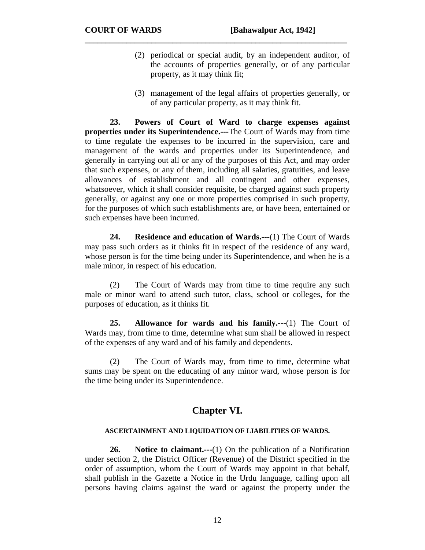- (2) periodical or special audit, by an independent auditor, of the accounts of properties generally, or of any particular property, as it may think fit;
- (3) management of the legal affairs of properties generally, or of any particular property, as it may think fit.

**23. Powers of Court of Ward to charge expenses against properties under its Superintendence.---**The Court of Wards may from time to time regulate the expenses to be incurred in the supervision, care and management of the wards and properties under its Superintendence, and generally in carrying out all or any of the purposes of this Act, and may order that such expenses, or any of them, including all salaries, gratuities, and leave allowances of establishment and all contingent and other expenses, whatsoever, which it shall consider requisite, be charged against such property generally, or against any one or more properties comprised in such property, for the purposes of which such establishments are, or have been, entertained or such expenses have been incurred.

**\_\_\_\_\_\_\_\_\_\_\_\_\_\_\_\_\_\_\_\_\_\_\_\_\_\_\_\_\_\_\_\_\_\_\_\_\_\_\_\_\_\_\_\_\_\_\_\_\_\_\_\_\_\_\_\_\_\_\_\_\_\_\_** 

**24. Residence and education of Wards.---**(1) The Court of Wards may pass such orders as it thinks fit in respect of the residence of any ward, whose person is for the time being under its Superintendence, and when he is a male minor, in respect of his education.

(2) The Court of Wards may from time to time require any such male or minor ward to attend such tutor, class, school or colleges, for the purposes of education, as it thinks fit.

**25. Allowance for wards and his family.---**(1) The Court of Wards may, from time to time, determine what sum shall be allowed in respect of the expenses of any ward and of his family and dependents.

(2) The Court of Wards may, from time to time, determine what sums may be spent on the educating of any minor ward, whose person is for the time being under its Superintendence.

# **Chapter VI.**

#### **ASCERTAINMENT AND LIQUIDATION OF LIABILITIES OF WARDS.**

 **26. Notice to claimant.---**(1) On the publication of a Notification under section 2, the District Officer (Revenue) of the District specified in the order of assumption, whom the Court of Wards may appoint in that behalf, shall publish in the Gazette a Notice in the Urdu language, calling upon all persons having claims against the ward or against the property under the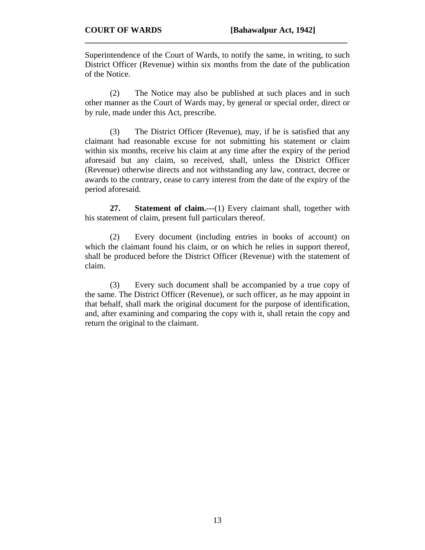Superintendence of the Court of Wards, to notify the same, in writing, to such District Officer (Revenue) within six months from the date of the publication of the Notice.

**\_\_\_\_\_\_\_\_\_\_\_\_\_\_\_\_\_\_\_\_\_\_\_\_\_\_\_\_\_\_\_\_\_\_\_\_\_\_\_\_\_\_\_\_\_\_\_\_\_\_\_\_\_\_\_\_\_\_\_\_\_\_\_** 

 (2) The Notice may also be published at such places and in such other manner as the Court of Wards may, by general or special order, direct or by rule, made under this Act, prescribe.

 (3) The District Officer (Revenue), may, if he is satisfied that any claimant had reasonable excuse for not submitting his statement or claim within six months, receive his claim at any time after the expiry of the period aforesaid but any claim, so received, shall, unless the District Officer (Revenue) otherwise directs and not withstanding any law, contract, decree or awards to the contrary, cease to carry interest from the date of the expiry of the period aforesaid.

**27. Statement of claim.---**(1) Every claimant shall, together with his statement of claim, present full particulars thereof.

 (2) Every document (including entries in books of account) on which the claimant found his claim, or on which he relies in support thereof, shall be produced before the District Officer (Revenue) with the statement of claim.

 (3) Every such document shall be accompanied by a true copy of the same. The District Officer (Revenue), or such officer, as he may appoint in that behalf, shall mark the original document for the purpose of identification, and, after examining and comparing the copy with it, shall retain the copy and return the original to the claimant.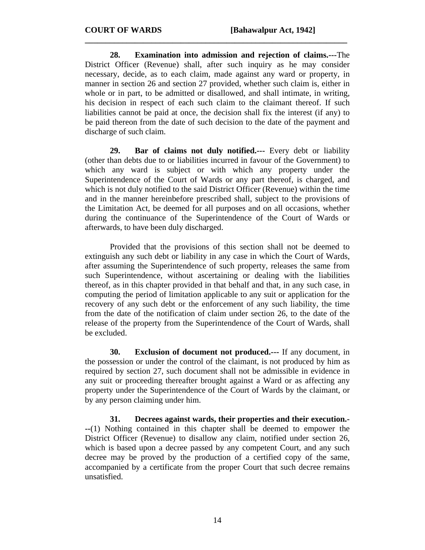**28. Examination into admission and rejection of claims.---**The District Officer (Revenue) shall, after such inquiry as he may consider necessary, decide, as to each claim, made against any ward or property, in manner in section 26 and section 27 provided, whether such claim is, either in whole or in part, to be admitted or disallowed, and shall intimate, in writing, his decision in respect of each such claim to the claimant thereof. If such liabilities cannot be paid at once, the decision shall fix the interest (if any) to be paid thereon from the date of such decision to the date of the payment and discharge of such claim.

**\_\_\_\_\_\_\_\_\_\_\_\_\_\_\_\_\_\_\_\_\_\_\_\_\_\_\_\_\_\_\_\_\_\_\_\_\_\_\_\_\_\_\_\_\_\_\_\_\_\_\_\_\_\_\_\_\_\_\_\_\_\_\_** 

**29. Bar of claims not duly notified.---** Every debt or liability (other than debts due to or liabilities incurred in favour of the Government) to which any ward is subject or with which any property under the Superintendence of the Court of Wards or any part thereof, is charged, and which is not duly notified to the said District Officer (Revenue) within the time and in the manner hereinbefore prescribed shall, subject to the provisions of the Limitation Act, be deemed for all purposes and on all occasions, whether during the continuance of the Superintendence of the Court of Wards or afterwards, to have been duly discharged.

 Provided that the provisions of this section shall not be deemed to extinguish any such debt or liability in any case in which the Court of Wards, after assuming the Superintendence of such property, releases the same from such Superintendence, without ascertaining or dealing with the liabilities thereof, as in this chapter provided in that behalf and that, in any such case, in computing the period of limitation applicable to any suit or application for the recovery of any such debt or the enforcement of any such liability, the time from the date of the notification of claim under section 26, to the date of the release of the property from the Superintendence of the Court of Wards, shall be excluded.

**30. Exclusion of document not produced.---** If any document, in the possession or under the control of the claimant, is not produced by him as required by section 27, such document shall not be admissible in evidence in any suit or proceeding thereafter brought against a Ward or as affecting any property under the Superintendence of the Court of Wards by the claimant, or by any person claiming under him.

**31. Decrees against wards, their properties and their execution.- --**(1) Nothing contained in this chapter shall be deemed to empower the District Officer (Revenue) to disallow any claim, notified under section 26, which is based upon a decree passed by any competent Court, and any such decree may be proved by the production of a certified copy of the same, accompanied by a certificate from the proper Court that such decree remains unsatisfied.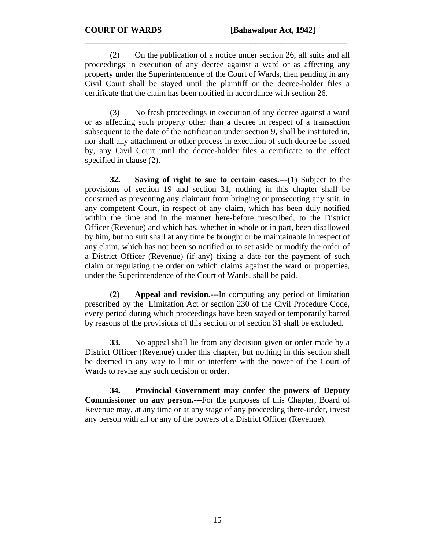(2) On the publication of a notice under section 26, all suits and all proceedings in execution of any decree against a ward or as affecting any property under the Superintendence of the Court of Wards, then pending in any Civil Court shall be stayed until the plaintiff or the decree-holder files a certificate that the claim has been notified in accordance with section 26.

**\_\_\_\_\_\_\_\_\_\_\_\_\_\_\_\_\_\_\_\_\_\_\_\_\_\_\_\_\_\_\_\_\_\_\_\_\_\_\_\_\_\_\_\_\_\_\_\_\_\_\_\_\_\_\_\_\_\_\_\_\_\_\_** 

 (3) No fresh proceedings in execution of any decree against a ward or as affecting such property other than a decree in respect of a transaction subsequent to the date of the notification under section 9, shall be instituted in, nor shall any attachment or other process in execution of such decree be issued by, any Civil Court until the decree-holder files a certificate to the effect specified in clause (2).

**32. Saving of right to sue to certain cases.---**(1) Subject to the provisions of section 19 and section 31, nothing in this chapter shall be construed as preventing any claimant from bringing or prosecuting any suit, in any competent Court, in respect of any claim, which has been duly notified within the time and in the manner here-before prescribed, to the District Officer (Revenue) and which has, whether in whole or in part, been disallowed by him, but no suit shall at any time be brought or be maintainable in respect of any claim, which has not been so notified or to set aside or modify the order of a District Officer (Revenue) (if any) fixing a date for the payment of such claim or regulating the order on which claims against the ward or properties, under the Superintendence of the Court of Wards, shall be paid.

 (2) **Appeal and revision.---**In computing any period of limitation prescribed by the Limitation Act or section 230 of the Civil Procedure Code, every period during which proceedings have been stayed or temporarily barred by reasons of the provisions of this section or of section 31 shall be excluded.

**33.** No appeal shall lie from any decision given or order made by a District Officer (Revenue) under this chapter, but nothing in this section shall be deemed in any way to limit or interfere with the power of the Court of Wards to revise any such decision or order.

**34. Provincial Government may confer the powers of Deputy Commissioner on any person.---**For the purposes of this Chapter, Board of Revenue may, at any time or at any stage of any proceeding there-under, invest any person with all or any of the powers of a District Officer (Revenue).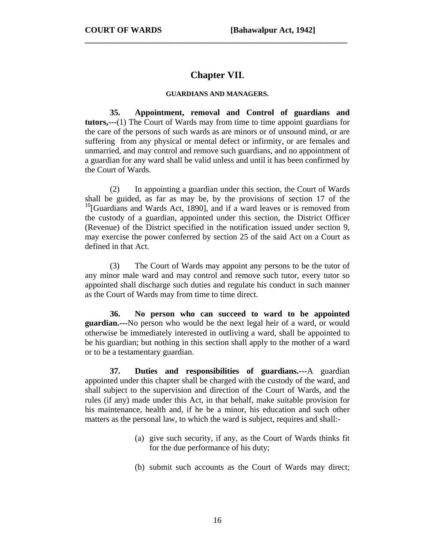# **Chapter VII.**

**\_\_\_\_\_\_\_\_\_\_\_\_\_\_\_\_\_\_\_\_\_\_\_\_\_\_\_\_\_\_\_\_\_\_\_\_\_\_\_\_\_\_\_\_\_\_\_\_\_\_\_\_\_\_\_\_\_\_\_\_\_\_\_** 

#### **GUARDIANS AND MANAGERS.**

 **35. Appointment, removal and Control of guardians and tutors,---**(1) The Court of Wards may from time to time appoint guardians for the care of the persons of such wards as are minors or of unsound mind, or are suffering from any physical or mental defect or infirmity, or are females and unmarried, and may control and remove such guardians, and no appointment of a guardian for any ward shall be valid unless and until it has been confirmed by the Court of Wards.

 (2) In appointing a guardian under this section, the Court of Wards shall be guided, as far as may be, by the provisions of section 17 of the  $10$ [Guardians and Wards Act, 1890], and if a ward leaves or is removed from the custody of a guardian, appointed under this section, the District Officer (Revenue) of the District specified in the notification issued under section 9, may exercise the power conferred by section 25 of the said Act on a Court as defined in that Act.

 (3) The Court of Wards may appoint any persons to be the tutor of any minor male ward and may control and remove such tutor, every tutor so appointed shall discharge such duties and regulate his conduct in such manner as the Court of Wards may from time to time direct.

**36. No person who can succeed to ward to be appointed guardian.---**No person who would be the next legal heir of a ward, or would otherwise be immediately interested in outliving a ward, shall be appointed to be his guardian; but nothing in this section shall apply to the mother of a ward or to be a testamentary guardian.

**37. Duties and responsibilities of guardians.---**A guardian appointed under this chapter shall be charged with the custody of the ward, and shall subject to the supervision and direction of the Court of Wards, and the rules (if any) made under this Act, in that behalf, make suitable provision for his maintenance, health and, if he be a minor, his education and such other matters as the personal law, to which the ward is subject, requires and shall:-

- (a) give such security, if any, as the Court of Wards thinks fit for the due performance of his duty;
- (b) submit such accounts as the Court of Wards may direct;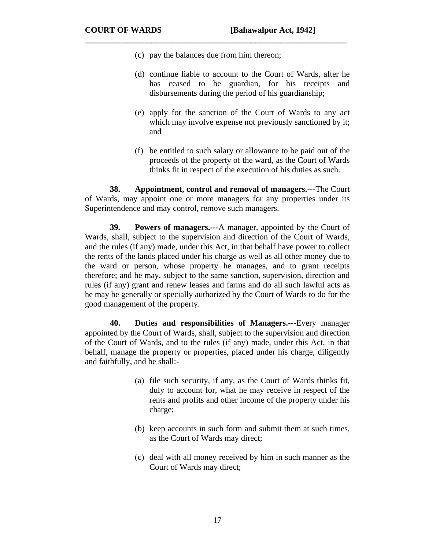(c) pay the balances due from him thereon;

**\_\_\_\_\_\_\_\_\_\_\_\_\_\_\_\_\_\_\_\_\_\_\_\_\_\_\_\_\_\_\_\_\_\_\_\_\_\_\_\_\_\_\_\_\_\_\_\_\_\_\_\_\_\_\_\_\_\_\_\_\_\_\_** 

- (d) continue liable to account to the Court of Wards, after he has ceased to be guardian, for his receipts and disbursements during the period of his guardianship;
- (e) apply for the sanction of the Court of Wards to any act which may involve expense not previously sanctioned by it; and
- (f) be entitled to such salary or allowance to be paid out of the proceeds of the property of the ward, as the Court of Wards thinks fit in respect of the execution of his duties as such.

**38. Appointment, control and removal of managers.---**The Court of Wards, may appoint one or more managers for any properties under its Superintendence and may control, remove such managers.

**39. Powers of managers.---**A manager, appointed by the Court of Wards, shall, subject to the supervision and direction of the Court of Wards, and the rules (if any) made, under this Act, in that behalf have power to collect the rents of the lands placed under his charge as well as all other money due to the ward or person, whose property he manages, and to grant receipts therefore; and he may, subject to the same sanction, supervision, direction and rules (if any) grant and renew leases and farms and do all such lawful acts as he may be generally or specially authorized by the Court of Wards to do for the good management of the property.

 **40. Duties and responsibilities of Managers.---**Every manager appointed by the Court of Wards, shall, subject to the supervision and direction of the Court of Wards, and to the rules (if any) made, under this Act, in that behalf, manage the property or properties, placed under his charge, diligently and faithfully, and he shall:-

- (a) file such security, if any, as the Court of Wards thinks fit, duly to account for, what he may receive in respect of the rents and profits and other income of the property under his charge;
- (b) keep accounts in such form and submit them at such times, as the Court of Wards may direct;
- (c) deal with all money received by him in such manner as the Court of Wards may direct;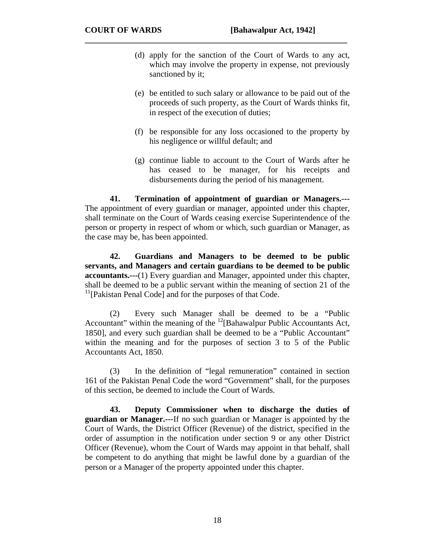(d) apply for the sanction of the Court of Wards to any act, which may involve the property in expense, not previously sanctioned by it;

**\_\_\_\_\_\_\_\_\_\_\_\_\_\_\_\_\_\_\_\_\_\_\_\_\_\_\_\_\_\_\_\_\_\_\_\_\_\_\_\_\_\_\_\_\_\_\_\_\_\_\_\_\_\_\_\_\_\_\_\_\_\_\_** 

- (e) be entitled to such salary or allowance to be paid out of the proceeds of such property, as the Court of Wards thinks fit, in respect of the execution of duties;
- (f) be responsible for any loss occasioned to the property by his negligence or willful default; and
- (g) continue liable to account to the Court of Wards after he has ceased to be manager, for his receipts and disbursements during the period of his management.

**41. Termination of appointment of guardian or Managers.---** The appointment of every guardian or manager, appointed under this chapter, shall terminate on the Court of Wards ceasing exercise Superintendence of the person or property in respect of whom or which, such guardian or Manager, as the case may be, has been appointed.

**42. Guardians and Managers to be deemed to be public servants, and Managers and certain guardians to be deemed to be public accountants.---**(1) Every guardian and Manager, appointed under this chapter, shall be deemed to be a public servant within the meaning of section 21 of the  $<sup>11</sup>$ [Pakistan Penal Code] and for the purposes of that Code.</sup>

 (2) Every such Manager shall be deemed to be a "Public Accountant" within the meaning of the  $^{12}$ [Bahawalpur Public Accountants Act, 1850], and every such guardian shall be deemed to be a "Public Accountant" within the meaning and for the purposes of section 3 to 5 of the Public Accountants Act, 1850.

 (3) In the definition of "legal remuneration" contained in section 161 of the Pakistan Penal Code the word "Government" shall, for the purposes of this section, be deemed to include the Court of Wards.

**43. Deputy Commissioner when to discharge the duties of guardian or Manager.---**If no such guardian or Manager is appointed by the Court of Wards, the District Officer (Revenue) of the district, specified in the order of assumption in the notification under section 9 or any other District Officer (Revenue), whom the Court of Wards may appoint in that behalf, shall be competent to do anything that might be lawful done by a guardian of the person or a Manager of the property appointed under this chapter.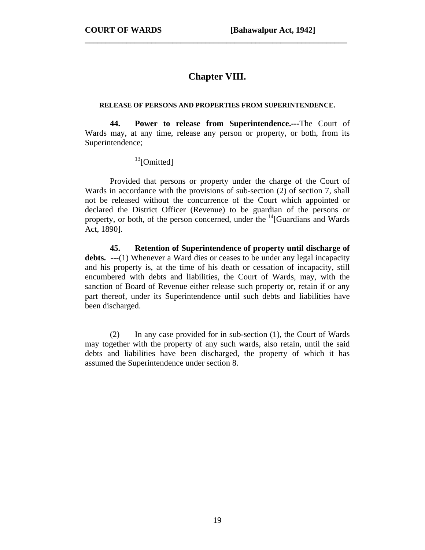# **Chapter VIII.**

**\_\_\_\_\_\_\_\_\_\_\_\_\_\_\_\_\_\_\_\_\_\_\_\_\_\_\_\_\_\_\_\_\_\_\_\_\_\_\_\_\_\_\_\_\_\_\_\_\_\_\_\_\_\_\_\_\_\_\_\_\_\_\_** 

#### **RELEASE OF PERSONS AND PROPERTIES FROM SUPERINTENDENCE.**

 **44. Power to release from Superintendence.---**The Court of Wards may, at any time, release any person or property, or both, from its Superintendence;

 $13$ [Omitted]

 Provided that persons or property under the charge of the Court of Wards in accordance with the provisions of sub-section (2) of section 7, shall not be released without the concurrence of the Court which appointed or declared the District Officer (Revenue) to be guardian of the persons or property, or both, of the person concerned, under the  $\frac{14}{16}$ [Guardians and Wards] Act, 1890].

**45. Retention of Superintendence of property until discharge of debts. ---**(1) Whenever a Ward dies or ceases to be under any legal incapacity and his property is, at the time of his death or cessation of incapacity, still encumbered with debts and liabilities, the Court of Wards, may, with the sanction of Board of Revenue either release such property or, retain if or any part thereof, under its Superintendence until such debts and liabilities have been discharged.

 (2) In any case provided for in sub-section (1), the Court of Wards may together with the property of any such wards, also retain, until the said debts and liabilities have been discharged, the property of which it has assumed the Superintendence under section 8.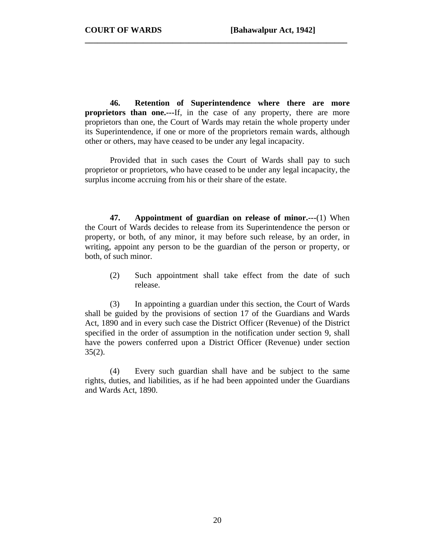**46. Retention of Superintendence where there are more proprietors than one.---**If, in the case of any property, there are more proprietors than one, the Court of Wards may retain the whole property under its Superintendence, if one or more of the proprietors remain wards, although other or others, may have ceased to be under any legal incapacity.

**\_\_\_\_\_\_\_\_\_\_\_\_\_\_\_\_\_\_\_\_\_\_\_\_\_\_\_\_\_\_\_\_\_\_\_\_\_\_\_\_\_\_\_\_\_\_\_\_\_\_\_\_\_\_\_\_\_\_\_\_\_\_\_** 

 Provided that in such cases the Court of Wards shall pay to such proprietor or proprietors, who have ceased to be under any legal incapacity, the surplus income accruing from his or their share of the estate.

**47. Appointment of guardian on release of minor.---**(1) When the Court of Wards decides to release from its Superintendence the person or property, or both, of any minor, it may before such release, by an order, in writing, appoint any person to be the guardian of the person or property, or both, of such minor.

(2) Such appointment shall take effect from the date of such release.

(3) In appointing a guardian under this section, the Court of Wards shall be guided by the provisions of section 17 of the Guardians and Wards Act, 1890 and in every such case the District Officer (Revenue) of the District specified in the order of assumption in the notification under section 9, shall have the powers conferred upon a District Officer (Revenue) under section  $35(2)$ .

(4) Every such guardian shall have and be subject to the same rights, duties, and liabilities, as if he had been appointed under the Guardians and Wards Act, 1890.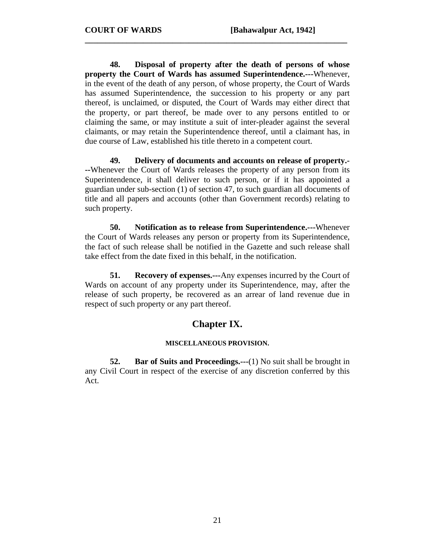**48. Disposal of property after the death of persons of whose property the Court of Wards has assumed Superintendence.---**Whenever, in the event of the death of any person, of whose property, the Court of Wards has assumed Superintendence, the succession to his property or any part thereof, is unclaimed, or disputed, the Court of Wards may either direct that the property, or part thereof, be made over to any persons entitled to or claiming the same, or may institute a suit of inter-pleader against the several claimants, or may retain the Superintendence thereof, until a claimant has, in due course of Law, established his title thereto in a competent court.

**\_\_\_\_\_\_\_\_\_\_\_\_\_\_\_\_\_\_\_\_\_\_\_\_\_\_\_\_\_\_\_\_\_\_\_\_\_\_\_\_\_\_\_\_\_\_\_\_\_\_\_\_\_\_\_\_\_\_\_\_\_\_\_** 

 **49. Delivery of documents and accounts on release of property.- --**Whenever the Court of Wards releases the property of any person from its Superintendence, it shall deliver to such person, or if it has appointed a guardian under sub-section (1) of section 47, to such guardian all documents of title and all papers and accounts (other than Government records) relating to such property.

**50. Notification as to release from Superintendence.---**Whenever the Court of Wards releases any person or property from its Superintendence, the fact of such release shall be notified in the Gazette and such release shall take effect from the date fixed in this behalf, in the notification.

**51.** Recovery of expenses.---Any expenses incurred by the Court of Wards on account of any property under its Superintendence, may, after the release of such property, be recovered as an arrear of land revenue due in respect of such property or any part thereof.

### **Chapter IX.**

#### **MISCELLANEOUS PROVISION.**

**52.** Bar of Suits and Proceedings.---(1) No suit shall be brought in any Civil Court in respect of the exercise of any discretion conferred by this Act.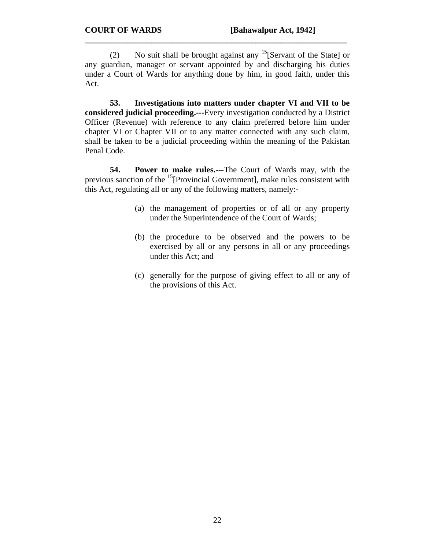(2) No suit shall be brought against any  $15$ [Servant of the State] or any guardian, manager or servant appointed by and discharging his duties under a Court of Wards for anything done by him, in good faith, under this Act.

**\_\_\_\_\_\_\_\_\_\_\_\_\_\_\_\_\_\_\_\_\_\_\_\_\_\_\_\_\_\_\_\_\_\_\_\_\_\_\_\_\_\_\_\_\_\_\_\_\_\_\_\_\_\_\_\_\_\_\_\_\_\_\_** 

**53. Investigations into matters under chapter VI and VII to be considered judicial proceeding.---**Every investigation conducted by a District Officer (Revenue) with reference to any claim preferred before him under chapter VI or Chapter VII or to any matter connected with any such claim, shall be taken to be a judicial proceeding within the meaning of the Pakistan Penal Code.

**54. Power to make rules.---**The Court of Wards may, with the previous sanction of the  $<sup>15</sup>[Provincia Government]$ , make rules consistent with</sup> this Act, regulating all or any of the following matters, namely:-

- (a) the management of properties or of all or any property under the Superintendence of the Court of Wards;
- (b) the procedure to be observed and the powers to be exercised by all or any persons in all or any proceedings under this Act; and
- (c) generally for the purpose of giving effect to all or any of the provisions of this Act.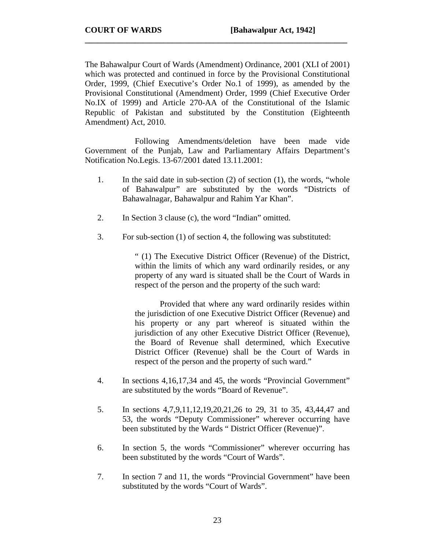The Bahawalpur Court of Wards (Amendment) Ordinance, 2001 (XLI of 2001) which was protected and continued in force by the Provisional Constitutional Order, 1999, (Chief Executive's Order No.1 of 1999), as amended by the Provisional Constitutional (Amendment) Order, 1999 (Chief Executive Order No.IX of 1999) and Article 270-AA of the Constitutional of the Islamic Republic of Pakistan and substituted by the Constitution (Eighteenth Amendment) Act, 2010.

**\_\_\_\_\_\_\_\_\_\_\_\_\_\_\_\_\_\_\_\_\_\_\_\_\_\_\_\_\_\_\_\_\_\_\_\_\_\_\_\_\_\_\_\_\_\_\_\_\_\_\_\_\_\_\_\_\_\_\_\_\_\_\_** 

 Following Amendments/deletion have been made vide Government of the Punjab, Law and Parliamentary Affairs Department's Notification No.Legis. 13-67/2001 dated 13.11.2001:

- 1. In the said date in sub-section (2) of section (1), the words, "whole of Bahawalpur" are substituted by the words "Districts of Bahawalnagar, Bahawalpur and Rahim Yar Khan".
- 2. In Section 3 clause (c), the word "Indian" omitted.
- 3. For sub-section (1) of section 4, the following was substituted:

" (1) The Executive District Officer (Revenue) of the District, within the limits of which any ward ordinarily resides, or any property of any ward is situated shall be the Court of Wards in respect of the person and the property of the such ward:

 Provided that where any ward ordinarily resides within the jurisdiction of one Executive District Officer (Revenue) and his property or any part whereof is situated within the jurisdiction of any other Executive District Officer (Revenue), the Board of Revenue shall determined, which Executive District Officer (Revenue) shall be the Court of Wards in respect of the person and the property of such ward."

- 4. In sections 4,16,17,34 and 45, the words "Provincial Government" are substituted by the words "Board of Revenue".
- 5. In sections 4,7,9,11,12,19,20,21,26 to 29, 31 to 35, 43,44,47 and 53, the words "Deputy Commissioner" wherever occurring have been substituted by the Wards " District Officer (Revenue)".
- 6. In section 5, the words "Commissioner" wherever occurring has been substituted by the words "Court of Wards".
- 7. In section 7 and 11, the words "Provincial Government" have been substituted by the words "Court of Wards".